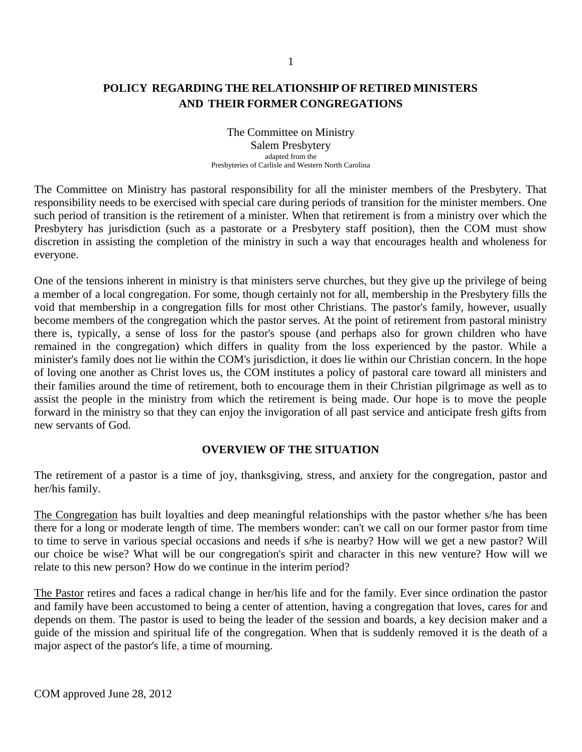## **POLICY REGARDING THE RELATIONSHIP OF RETIRED MINISTERS AND THEIR FORMER CONGREGATIONS**

The Committee on Ministry Salem Presbytery adapted from the Presbyteries of Carlisle and Western North Carolina

The Committee on Ministry has pastoral responsibility for all the minister members of the Presbytery. That responsibility needs to be exercised with special care during periods of transition for the minister members. One such period of transition is the retirement of a minister. When that retirement is from a ministry over which the Presbytery has jurisdiction (such as a pastorate or a Presbytery staff position), then the COM must show discretion in assisting the completion of the ministry in such a way that encourages health and wholeness for everyone.

One of the tensions inherent in ministry is that ministers serve churches, but they give up the privilege of being a member of a local congregation. For some, though certainly not for all, membership in the Presbytery fills the void that membership in a congregation fills for most other Christians. The pastor's family, however, usually become members of the congregation which the pastor serves. At the point of retirement from pastoral ministry there is, typically, a sense of loss for the pastor's spouse (and perhaps also for grown children who have remained in the congregation) which differs in quality from the loss experienced by the pastor. While a minister's family does not lie within the COM's jurisdiction, it does lie within our Christian concern. In the hope of loving one another as Christ loves us, the COM institutes a policy of pastoral care toward all ministers and their families around the time of retirement, both to encourage them in their Christian pilgrimage as well as to assist the people in the ministry from which the retirement is being made. Our hope is to move the people forward in the ministry so that they can enjoy the invigoration of all past service and anticipate fresh gifts from new servants of God.

#### **OVERVIEW OF THE SITUATION**

The retirement of a pastor is a time of joy, thanksgiving, stress, and anxiety for the congregation, pastor and her/his family.

The Congregation has built loyalties and deep meaningful relationships with the pastor whether s/he has been there for a long or moderate length of time. The members wonder: can't we call on our former pastor from time to time to serve in various special occasions and needs if s/he is nearby? How will we get a new pastor? Will our choice be wise? What will be our congregation's spirit and character in this new venture? How will we relate to this new person? How do we continue in the interim period?

The Pastor retires and faces a radical change in her/his life and for the family. Ever since ordination the pastor and family have been accustomed to being a center of attention, having a congregation that loves, cares for and depends on them. The pastor is used to being the leader of the session and boards, a key decision maker and a guide of the mission and spiritual life of the congregation. When that is suddenly removed it is the death of a major aspect of the pastor's life, a time of mourning.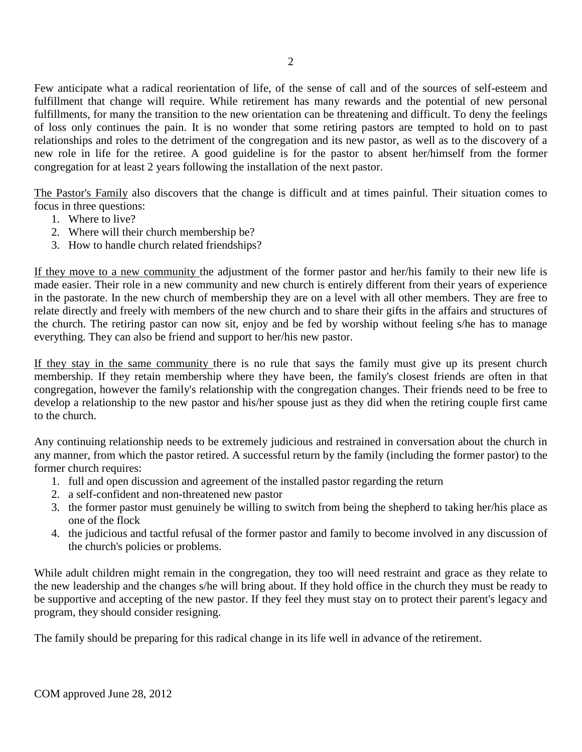Few anticipate what a radical reorientation of life, of the sense of call and of the sources of self-esteem and fulfillment that change will require. While retirement has many rewards and the potential of new personal fulfillments, for many the transition to the new orientation can be threatening and difficult. To deny the feelings of loss only continues the pain. It is no wonder that some retiring pastors are tempted to hold on to past relationships and roles to the detriment of the congregation and its new pastor, as well as to the discovery of a new role in life for the retiree. A good guideline is for the pastor to absent her/himself from the former congregation for at least 2 years following the installation of the next pastor.

The Pastor's Family also discovers that the change is difficult and at times painful. Their situation comes to focus in three questions:

- 1. Where to live?
- 2. Where will their church membership be?
- 3. How to handle church related friendships?

If they move to a new community the adjustment of the former pastor and her/his family to their new life is made easier. Their role in a new community and new church is entirely different from their years of experience in the pastorate. In the new church of membership they are on a level with all other members. They are free to relate directly and freely with members of the new church and to share their gifts in the affairs and structures of the church. The retiring pastor can now sit, enjoy and be fed by worship without feeling s/he has to manage everything. They can also be friend and support to her/his new pastor.

If they stay in the same community there is no rule that says the family must give up its present church membership. If they retain membership where they have been, the family's closest friends are often in that congregation, however the family's relationship with the congregation changes. Their friends need to be free to develop a relationship to the new pastor and his/her spouse just as they did when the retiring couple first came to the church.

Any continuing relationship needs to be extremely judicious and restrained in conversation about the church in any manner, from which the pastor retired. A successful return by the family (including the former pastor) to the former church requires:

- 1. full and open discussion and agreement of the installed pastor regarding the return
- 2. a self-confident and non-threatened new pastor
- 3. the former pastor must genuinely be willing to switch from being the shepherd to taking her/his place as one of the flock
- 4. the judicious and tactful refusal of the former pastor and family to become involved in any discussion of the church's policies or problems.

While adult children might remain in the congregation, they too will need restraint and grace as they relate to the new leadership and the changes s/he will bring about. If they hold office in the church they must be ready to be supportive and accepting of the new pastor. If they feel they must stay on to protect their parent's legacy and program, they should consider resigning.

The family should be preparing for this radical change in its life well in advance of the retirement.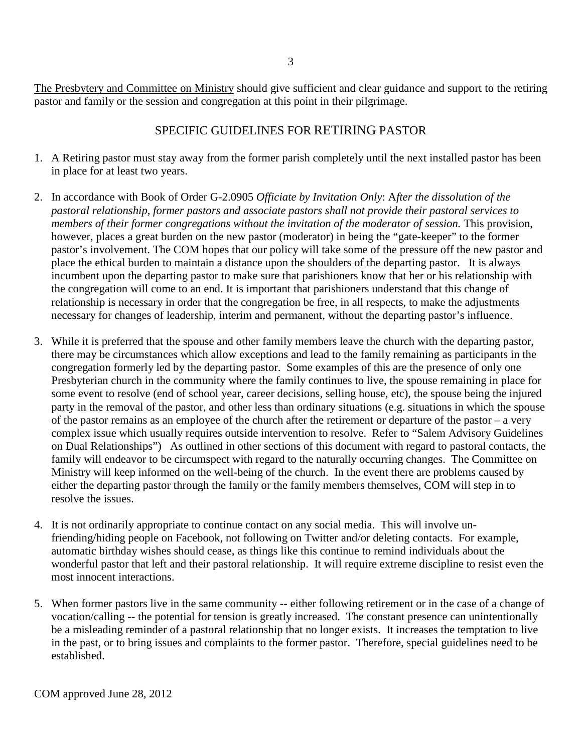The Presbytery and Committee on Ministry should give sufficient and clear guidance and support to the retiring pastor and family or the session and congregation at this point in their pilgrimage.

## SPECIFIC GUIDELINES FOR RETIRING PASTOR

- 1. A Retiring pastor must stay away from the former parish completely until the next installed pastor has been in place for at least two years.
- 2. In accordance with Book of Order G-2.0905 *Officiate by Invitation Only*: A*fter the dissolution of the pastoral relationship, former pastors and associate pastors shall not provide their pastoral services to members of their former congregations without the invitation of the moderator of session.* This provision, however, places a great burden on the new pastor (moderator) in being the "gate-keeper" to the former pastor's involvement. The COM hopes that our policy will take some of the pressure off the new pastor and place the ethical burden to maintain a distance upon the shoulders of the departing pastor.It is always incumbent upon the departing pastor to make sure that parishioners know that her or his relationship with the congregation will come to an end. It is important that parishioners understand that this change of relationship is necessary in order that the congregation be free, in all respects, to make the adjustments necessary for changes of leadership, interim and permanent, without the departing pastor's influence.
- 3. While it is preferred that the spouse and other family members leave the church with the departing pastor, there may be circumstances which allow exceptions and lead to the family remaining as participants in the congregation formerly led by the departing pastor. Some examples of this are the presence of only one Presbyterian church in the community where the family continues to live, the spouse remaining in place for some event to resolve (end of school year, career decisions, selling house, etc), the spouse being the injured party in the removal of the pastor, and other less than ordinary situations (e.g. situations in which the spouse of the pastor remains as an employee of the church after the retirement or departure of the pastor – a very complex issue which usually requires outside intervention to resolve. Refer to "Salem Advisory Guidelines on Dual Relationships") As outlined in other sections of this document with regard to pastoral contacts, the family will endeavor to be circumspect with regard to the naturally occurring changes. The Committee on Ministry will keep informed on the well-being of the church. In the event there are problems caused by either the departing pastor through the family or the family members themselves, COM will step in to resolve the issues.
- 4. It is not ordinarily appropriate to continue contact on any social media. This will involve unfriending/hiding people on Facebook, not following on Twitter and/or deleting contacts. For example, automatic birthday wishes should cease, as things like this continue to remind individuals about the wonderful pastor that left and their pastoral relationship. It will require extreme discipline to resist even the most innocent interactions.
- 5. When former pastors live in the same community -- either following retirement or in the case of a change of vocation/calling -- the potential for tension is greatly increased. The constant presence can unintentionally be a misleading reminder of a pastoral relationship that no longer exists. It increases the temptation to live in the past, or to bring issues and complaints to the former pastor. Therefore, special guidelines need to be established.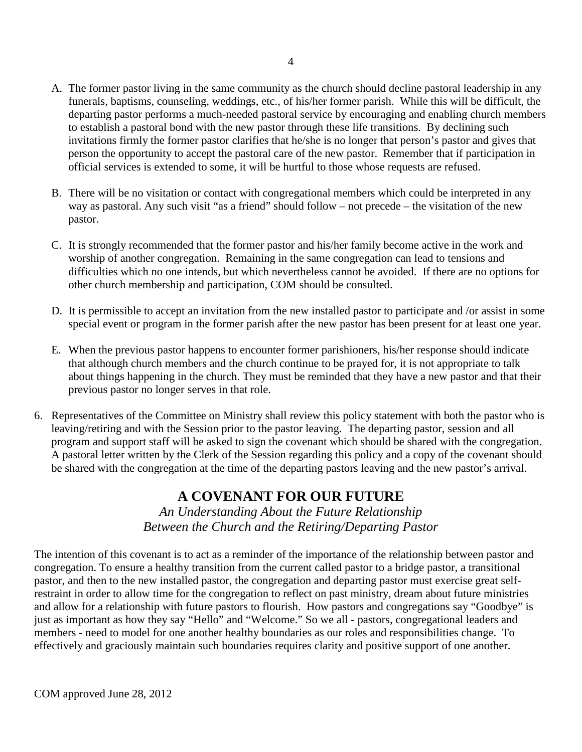- A. The former pastor living in the same community as the church should decline pastoral leadership in any funerals, baptisms, counseling, weddings, etc., of his/her former parish. While this will be difficult, the departing pastor performs a much-needed pastoral service by encouraging and enabling church members to establish a pastoral bond with the new pastor through these life transitions. By declining such invitations firmly the former pastor clarifies that he/she is no longer that person's pastor and gives that person the opportunity to accept the pastoral care of the new pastor. Remember that if participation in official services is extended to some, it will be hurtful to those whose requests are refused.
- B. There will be no visitation or contact with congregational members which could be interpreted in any way as pastoral. Any such visit "as a friend" should follow – not precede – the visitation of the new pastor.
- C. It is strongly recommended that the former pastor and his/her family become active in the work and worship of another congregation. Remaining in the same congregation can lead to tensions and difficulties which no one intends, but which nevertheless cannot be avoided. If there are no options for other church membership and participation, COM should be consulted.
- D. It is permissible to accept an invitation from the new installed pastor to participate and /or assist in some special event or program in the former parish after the new pastor has been present for at least one year.
- E. When the previous pastor happens to encounter former parishioners, his/her response should indicate that although church members and the church continue to be prayed for, it is not appropriate to talk about things happening in the church. They must be reminded that they have a new pastor and that their previous pastor no longer serves in that role.
- 6. Representatives of the Committee on Ministry shall review this policy statement with both the pastor who is leaving/retiring and with the Session prior to the pastor leaving. The departing pastor, session and all program and support staff will be asked to sign the covenant which should be shared with the congregation. A pastoral letter written by the Clerk of the Session regarding this policy and a copy of the covenant should be shared with the congregation at the time of the departing pastors leaving and the new pastor's arrival.

# **A COVENANT FOR OUR FUTURE**

*An Understanding About the Future Relationship Between the Church and the Retiring/Departing Pastor*

The intention of this covenant is to act as a reminder of the importance of the relationship between pastor and congregation. To ensure a healthy transition from the current called pastor to a bridge pastor, a transitional pastor, and then to the new installed pastor, the congregation and departing pastor must exercise great selfrestraint in order to allow time for the congregation to reflect on past ministry, dream about future ministries and allow for a relationship with future pastors to flourish. How pastors and congregations say "Goodbye" is just as important as how they say "Hello" and "Welcome." So we all - pastors, congregational leaders and members - need to model for one another healthy boundaries as our roles and responsibilities change. To effectively and graciously maintain such boundaries requires clarity and positive support of one another.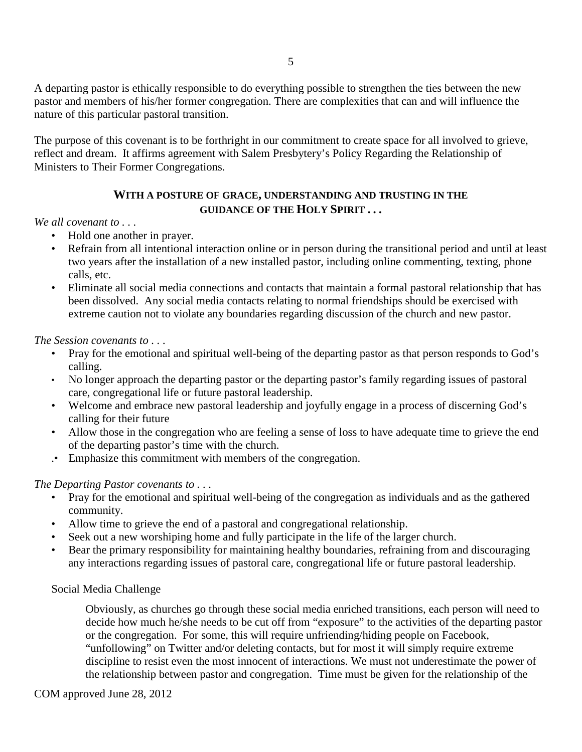A departing pastor is ethically responsible to do everything possible to strengthen the ties between the new pastor and members of his/her former congregation. There are complexities that can and will influence the nature of this particular pastoral transition.

The purpose of this covenant is to be forthright in our commitment to create space for all involved to grieve, reflect and dream. It affirms agreement with Salem Presbytery's Policy Regarding the Relationship of Ministers to Their Former Congregations.

### **WITH A POSTURE OF GRACE, UNDERSTANDING AND TRUSTING IN THE GUIDANCE OF THE HOLY SPIRIT . . .**

#### *We all covenant to . . .*

- Hold one another in prayer.
- Refrain from all intentional interaction online or in person during the transitional period and until at least two years after the installation of a new installed pastor, including online commenting, texting, phone calls, etc.
- Eliminate all social media connections and contacts that maintain a formal pastoral relationship that has been dissolved. Any social media contacts relating to normal friendships should be exercised with extreme caution not to violate any boundaries regarding discussion of the church and new pastor.

#### *The Session covenants to . . .*

- Pray for the emotional and spiritual well-being of the departing pastor as that person responds to God's calling.
- No longer approach the departing pastor or the departing pastor's family regarding issues of pastoral care, congregational life or future pastoral leadership.
- Welcome and embrace new pastoral leadership and joyfully engage in a process of discerning God's calling for their future
- Allow those in the congregation who are feeling a sense of loss to have adequate time to grieve the end of the departing pastor's time with the church.
- .• Emphasize this commitment with members of the congregation.

#### *The Departing Pastor covenants to . . .*

- Pray for the emotional and spiritual well-being of the congregation as individuals and as the gathered community.
- Allow time to grieve the end of a pastoral and congregational relationship.
- Seek out a new worshiping home and fully participate in the life of the larger church.
- Bear the primary responsibility for maintaining healthy boundaries, refraining from and discouraging any interactions regarding issues of pastoral care, congregational life or future pastoral leadership.

#### Social Media Challenge

Obviously, as churches go through these social media enriched transitions, each person will need to decide how much he/she needs to be cut off from "exposure" to the activities of the departing pastor or the congregation. For some, this will require unfriending/hiding people on Facebook, "unfollowing" on Twitter and/or deleting contacts, but for most it will simply require extreme discipline to resist even the most innocent of interactions. We must not underestimate the power of the relationship between pastor and congregation. Time must be given for the relationship of the